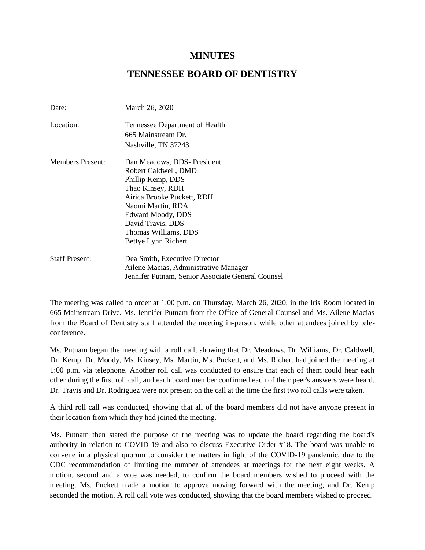## **MINUTES**

## **TENNESSEE BOARD OF DENTISTRY**

| Date:                   | March 26, 2020                                    |
|-------------------------|---------------------------------------------------|
| Location:               | Tennessee Department of Health                    |
|                         | 665 Mainstream Dr.                                |
|                         | Nashville, TN 37243                               |
| <b>Members Present:</b> | Dan Meadows, DDS-President                        |
|                         | Robert Caldwell, DMD                              |
|                         | Phillip Kemp, DDS                                 |
|                         | Thao Kinsey, RDH                                  |
|                         | Airica Brooke Puckett, RDH                        |
|                         | Naomi Martin, RDA                                 |
|                         | Edward Moody, DDS                                 |
|                         | David Travis, DDS                                 |
|                         | Thomas Williams, DDS                              |
|                         | Bettye Lynn Richert                               |
| <b>Staff Present:</b>   | Dea Smith, Executive Director                     |
|                         | Ailene Macias, Administrative Manager             |
|                         | Jennifer Putnam, Senior Associate General Counsel |

The meeting was called to order at 1:00 p.m. on Thursday, March 26, 2020, in the Iris Room located in 665 Mainstream Drive. Ms. Jennifer Putnam from the Office of General Counsel and Ms. Ailene Macias from the Board of Dentistry staff attended the meeting in-person, while other attendees joined by teleconference.

Ms. Putnam began the meeting with a roll call, showing that Dr. Meadows, Dr. Williams, Dr. Caldwell, Dr. Kemp, Dr. Moody, Ms. Kinsey, Ms. Martin, Ms. Puckett, and Ms. Richert had joined the meeting at 1:00 p.m. via telephone. Another roll call was conducted to ensure that each of them could hear each other during the first roll call, and each board member confirmed each of their peer's answers were heard. Dr. Travis and Dr. Rodriguez were not present on the call at the time the first two roll calls were taken.

A third roll call was conducted, showing that all of the board members did not have anyone present in their location from which they had joined the meeting.

Ms. Putnam then stated the purpose of the meeting was to update the board regarding the board's authority in relation to COVID-19 and also to discuss Executive Order #18. The board was unable to convene in a physical quorum to consider the matters in light of the COVID-19 pandemic, due to the CDC recommendation of limiting the number of attendees at meetings for the next eight weeks. A motion, second and a vote was needed, to confirm the board members wished to proceed with the meeting. Ms. Puckett made a motion to approve moving forward with the meeting, and Dr. Kemp seconded the motion. A roll call vote was conducted, showing that the board members wished to proceed.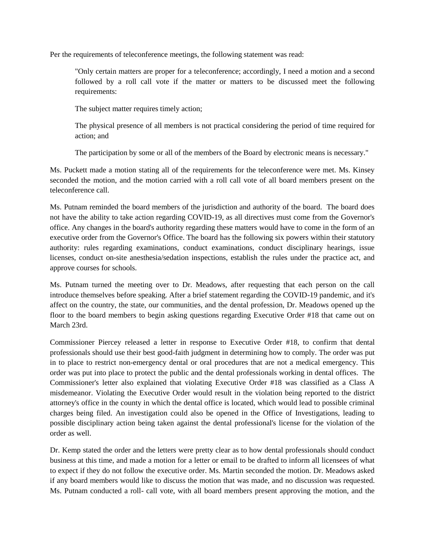Per the requirements of teleconference meetings, the following statement was read:

"Only certain matters are proper for a teleconference; accordingly, I need a motion and a second followed by a roll call vote if the matter or matters to be discussed meet the following requirements:

The subject matter requires timely action;

The physical presence of all members is not practical considering the period of time required for action; and

The participation by some or all of the members of the Board by electronic means is necessary."

Ms. Puckett made a motion stating all of the requirements for the teleconference were met. Ms. Kinsey seconded the motion, and the motion carried with a roll call vote of all board members present on the teleconference call.

Ms. Putnam reminded the board members of the jurisdiction and authority of the board. The board does not have the ability to take action regarding COVID-19, as all directives must come from the Governor's office. Any changes in the board's authority regarding these matters would have to come in the form of an executive order from the Governor's Office. The board has the following six powers within their statutory authority: rules regarding examinations, conduct examinations, conduct disciplinary hearings, issue licenses, conduct on-site anesthesia/sedation inspections, establish the rules under the practice act, and approve courses for schools.

Ms. Putnam turned the meeting over to Dr. Meadows, after requesting that each person on the call introduce themselves before speaking. After a brief statement regarding the COVID-19 pandemic, and it's affect on the country, the state, our communities, and the dental profession, Dr. Meadows opened up the floor to the board members to begin asking questions regarding Executive Order #18 that came out on March 23rd.

Commissioner Piercey released a letter in response to Executive Order #18, to confirm that dental professionals should use their best good-faith judgment in determining how to comply. The order was put in to place to restrict non-emergency dental or oral procedures that are not a medical emergency. This order was put into place to protect the public and the dental professionals working in dental offices. The Commissioner's letter also explained that violating Executive Order #18 was classified as a Class A misdemeanor. Violating the Executive Order would result in the violation being reported to the district attorney's office in the county in which the dental office is located, which would lead to possible criminal charges being filed. An investigation could also be opened in the Office of Investigations, leading to possible disciplinary action being taken against the dental professional's license for the violation of the order as well.

Dr. Kemp stated the order and the letters were pretty clear as to how dental professionals should conduct business at this time, and made a motion for a letter or email to be drafted to inform all licensees of what to expect if they do not follow the executive order. Ms. Martin seconded the motion. Dr. Meadows asked if any board members would like to discuss the motion that was made, and no discussion was requested. Ms. Putnam conducted a roll- call vote, with all board members present approving the motion, and the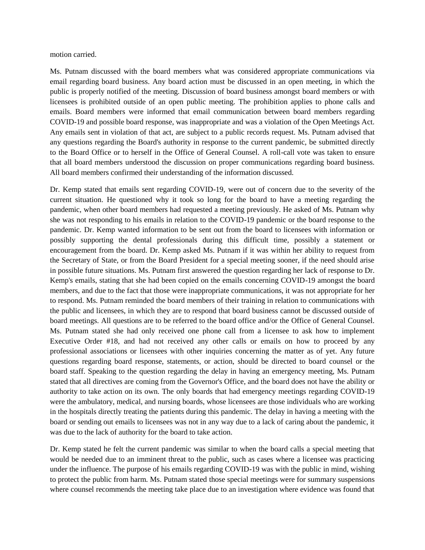motion carried.

Ms. Putnam discussed with the board members what was considered appropriate communications via email regarding board business. Any board action must be discussed in an open meeting, in which the public is properly notified of the meeting. Discussion of board business amongst board members or with licensees is prohibited outside of an open public meeting. The prohibition applies to phone calls and emails. Board members were informed that email communication between board members regarding COVID-19 and possible board response, was inappropriate and was a violation of the Open Meetings Act. Any emails sent in violation of that act, are subject to a public records request. Ms. Putnam advised that any questions regarding the Board's authority in response to the current pandemic, be submitted directly to the Board Office or to herself in the Office of General Counsel. A roll-call vote was taken to ensure that all board members understood the discussion on proper communications regarding board business. All board members confirmed their understanding of the information discussed.

Dr. Kemp stated that emails sent regarding COVID-19, were out of concern due to the severity of the current situation. He questioned why it took so long for the board to have a meeting regarding the pandemic, when other board members had requested a meeting previously. He asked of Ms. Putnam why she was not responding to his emails in relation to the COVID-19 pandemic or the board response to the pandemic. Dr. Kemp wanted information to be sent out from the board to licensees with information or possibly supporting the dental professionals during this difficult time, possibly a statement or encouragement from the board. Dr. Kemp asked Ms. Putnam if it was within her ability to request from the Secretary of State, or from the Board President for a special meeting sooner, if the need should arise in possible future situations. Ms. Putnam first answered the question regarding her lack of response to Dr. Kemp's emails, stating that she had been copied on the emails concerning COVID-19 amongst the board members, and due to the fact that those were inappropriate communications, it was not appropriate for her to respond. Ms. Putnam reminded the board members of their training in relation to communications with the public and licensees, in which they are to respond that board business cannot be discussed outside of board meetings. All questions are to be referred to the board office and/or the Office of General Counsel. Ms. Putnam stated she had only received one phone call from a licensee to ask how to implement Executive Order #18, and had not received any other calls or emails on how to proceed by any professional associations or licensees with other inquiries concerning the matter as of yet. Any future questions regarding board response, statements, or action, should be directed to board counsel or the board staff. Speaking to the question regarding the delay in having an emergency meeting, Ms. Putnam stated that all directives are coming from the Governor's Office, and the board does not have the ability or authority to take action on its own. The only boards that had emergency meetings regarding COVID-19 were the ambulatory, medical, and nursing boards, whose licensees are those individuals who are working in the hospitals directly treating the patients during this pandemic. The delay in having a meeting with the board or sending out emails to licensees was not in any way due to a lack of caring about the pandemic, it was due to the lack of authority for the board to take action.

Dr. Kemp stated he felt the current pandemic was similar to when the board calls a special meeting that would be needed due to an imminent threat to the public, such as cases where a licensee was practicing under the influence. The purpose of his emails regarding COVID-19 was with the public in mind, wishing to protect the public from harm. Ms. Putnam stated those special meetings were for summary suspensions where counsel recommends the meeting take place due to an investigation where evidence was found that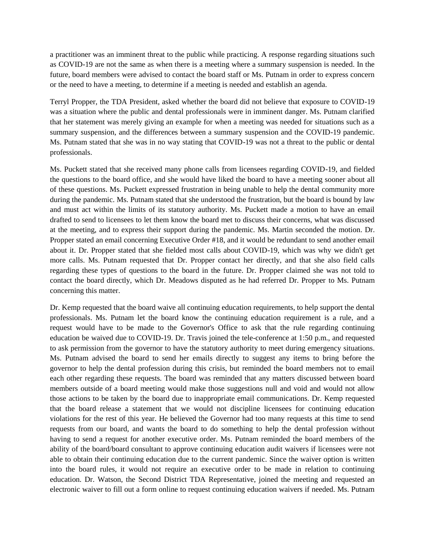a practitioner was an imminent threat to the public while practicing. A response regarding situations such as COVID-19 are not the same as when there is a meeting where a summary suspension is needed. In the future, board members were advised to contact the board staff or Ms. Putnam in order to express concern or the need to have a meeting, to determine if a meeting is needed and establish an agenda.

Terryl Propper, the TDA President, asked whether the board did not believe that exposure to COVID-19 was a situation where the public and dental professionals were in imminent danger. Ms. Putnam clarified that her statement was merely giving an example for when a meeting was needed for situations such as a summary suspension, and the differences between a summary suspension and the COVID-19 pandemic. Ms. Putnam stated that she was in no way stating that COVID-19 was not a threat to the public or dental professionals.

Ms. Puckett stated that she received many phone calls from licensees regarding COVID-19, and fielded the questions to the board office, and she would have liked the board to have a meeting sooner about all of these questions. Ms. Puckett expressed frustration in being unable to help the dental community more during the pandemic. Ms. Putnam stated that she understood the frustration, but the board is bound by law and must act within the limits of its statutory authority. Ms. Puckett made a motion to have an email drafted to send to licensees to let them know the board met to discuss their concerns, what was discussed at the meeting, and to express their support during the pandemic. Ms. Martin seconded the motion. Dr. Propper stated an email concerning Executive Order #18, and it would be redundant to send another email about it. Dr. Propper stated that she fielded most calls about COVID-19, which was why we didn't get more calls. Ms. Putnam requested that Dr. Propper contact her directly, and that she also field calls regarding these types of questions to the board in the future. Dr. Propper claimed she was not told to contact the board directly, which Dr. Meadows disputed as he had referred Dr. Propper to Ms. Putnam concerning this matter.

Dr. Kemp requested that the board waive all continuing education requirements, to help support the dental professionals. Ms. Putnam let the board know the continuing education requirement is a rule, and a request would have to be made to the Governor's Office to ask that the rule regarding continuing education be waived due to COVID-19. Dr. Travis joined the tele-conference at 1:50 p.m., and requested to ask permission from the governor to have the statutory authority to meet during emergency situations. Ms. Putnam advised the board to send her emails directly to suggest any items to bring before the governor to help the dental profession during this crisis, but reminded the board members not to email each other regarding these requests. The board was reminded that any matters discussed between board members outside of a board meeting would make those suggestions null and void and would not allow those actions to be taken by the board due to inappropriate email communications. Dr. Kemp requested that the board release a statement that we would not discipline licensees for continuing education violations for the rest of this year. He believed the Governor had too many requests at this time to send requests from our board, and wants the board to do something to help the dental profession without having to send a request for another executive order. Ms. Putnam reminded the board members of the ability of the board/board consultant to approve continuing education audit waivers if licensees were not able to obtain their continuing education due to the current pandemic. Since the waiver option is written into the board rules, it would not require an executive order to be made in relation to continuing education. Dr. Watson, the Second District TDA Representative, joined the meeting and requested an electronic waiver to fill out a form online to request continuing education waivers if needed. Ms. Putnam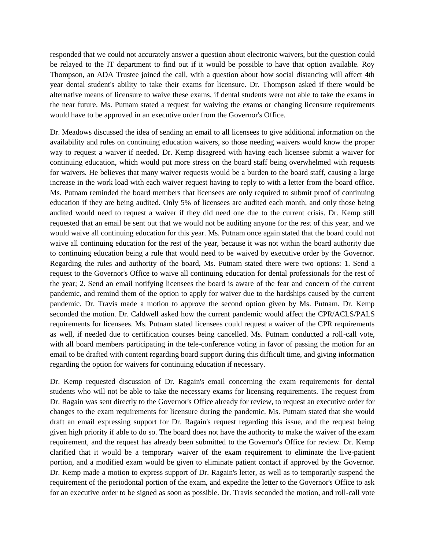responded that we could not accurately answer a question about electronic waivers, but the question could be relayed to the IT department to find out if it would be possible to have that option available. Roy Thompson, an ADA Trustee joined the call, with a question about how social distancing will affect 4th year dental student's ability to take their exams for licensure. Dr. Thompson asked if there would be alternative means of licensure to waive these exams, if dental students were not able to take the exams in the near future. Ms. Putnam stated a request for waiving the exams or changing licensure requirements would have to be approved in an executive order from the Governor's Office.

Dr. Meadows discussed the idea of sending an email to all licensees to give additional information on the availability and rules on continuing education waivers, so those needing waivers would know the proper way to request a waiver if needed. Dr. Kemp disagreed with having each licensee submit a waiver for continuing education, which would put more stress on the board staff being overwhelmed with requests for waivers. He believes that many waiver requests would be a burden to the board staff, causing a large increase in the work load with each waiver request having to reply to with a letter from the board office. Ms. Putnam reminded the board members that licensees are only required to submit proof of continuing education if they are being audited. Only 5% of licensees are audited each month, and only those being audited would need to request a waiver if they did need one due to the current crisis. Dr. Kemp still requested that an email be sent out that we would not be auditing anyone for the rest of this year, and we would waive all continuing education for this year. Ms. Putnam once again stated that the board could not waive all continuing education for the rest of the year, because it was not within the board authority due to continuing education being a rule that would need to be waived by executive order by the Governor. Regarding the rules and authority of the board, Ms. Putnam stated there were two options: 1. Send a request to the Governor's Office to waive all continuing education for dental professionals for the rest of the year; 2. Send an email notifying licensees the board is aware of the fear and concern of the current pandemic, and remind them of the option to apply for waiver due to the hardships caused by the current pandemic. Dr. Travis made a motion to approve the second option given by Ms. Putnam. Dr. Kemp seconded the motion. Dr. Caldwell asked how the current pandemic would affect the CPR/ACLS/PALS requirements for licensees. Ms. Putnam stated licensees could request a waiver of the CPR requirements as well, if needed due to certification courses being cancelled. Ms. Putnam conducted a roll-call vote, with all board members participating in the tele-conference voting in favor of passing the motion for an email to be drafted with content regarding board support during this difficult time, and giving information regarding the option for waivers for continuing education if necessary.

Dr. Kemp requested discussion of Dr. Ragain's email concerning the exam requirements for dental students who will not be able to take the necessary exams for licensing requirements. The request from Dr. Ragain was sent directly to the Governor's Office already for review, to request an executive order for changes to the exam requirements for licensure during the pandemic. Ms. Putnam stated that she would draft an email expressing support for Dr. Ragain's request regarding this issue, and the request being given high priority if able to do so. The board does not have the authority to make the waiver of the exam requirement, and the request has already been submitted to the Governor's Office for review. Dr. Kemp clarified that it would be a temporary waiver of the exam requirement to eliminate the live-patient portion, and a modified exam would be given to eliminate patient contact if approved by the Governor. Dr. Kemp made a motion to express support of Dr. Ragain's letter, as well as to temporarily suspend the requirement of the periodontal portion of the exam, and expedite the letter to the Governor's Office to ask for an executive order to be signed as soon as possible. Dr. Travis seconded the motion, and roll-call vote